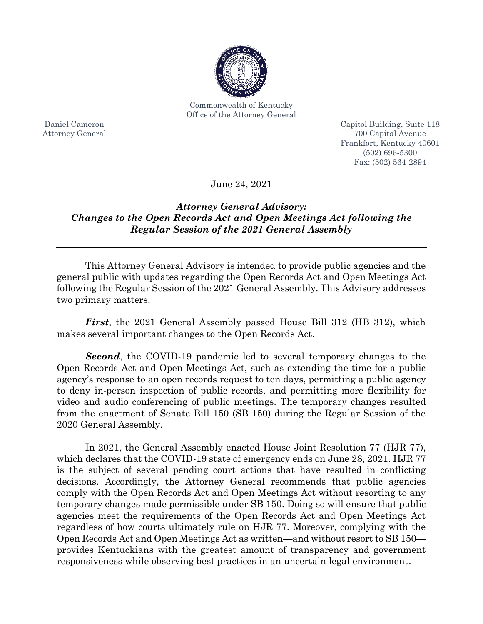

Commonwealth of Kentucky Office of the Attorney General

Daniel Cameron Attorney General Capitol Building, Suite 118 700 Capital Avenue Frankfort, Kentucky 40601 (502) 696-5300 Fax: (502) 564-2894

June 24, 2021

## *Attorney General Advisory: Changes to the Open Records Act and Open Meetings Act following the Regular Session of the 2021 General Assembly*

This Attorney General Advisory is intended to provide public agencies and the general public with updates regarding the Open Records Act and Open Meetings Act following the Regular Session of the 2021 General Assembly. This Advisory addresses two primary matters.

*First*, the 2021 General Assembly passed House Bill 312 (HB 312), which makes several important changes to the Open Records Act.

*Second*, the COVID-19 pandemic led to several temporary changes to the Open Records Act and Open Meetings Act, such as extending the time for a public agency's response to an open records request to ten days, permitting a public agency to deny in-person inspection of public records, and permitting more flexibility for video and audio conferencing of public meetings. The temporary changes resulted from the enactment of Senate Bill 150 (SB 150) during the Regular Session of the 2020 General Assembly.

In 2021, the General Assembly enacted House Joint Resolution 77 (HJR 77), which declares that the COVID-19 state of emergency ends on June 28, 2021. HJR 77 is the subject of several pending court actions that have resulted in conflicting decisions. Accordingly, the Attorney General recommends that public agencies comply with the Open Records Act and Open Meetings Act without resorting to any temporary changes made permissible under SB 150. Doing so will ensure that public agencies meet the requirements of the Open Records Act and Open Meetings Act regardless of how courts ultimately rule on HJR 77. Moreover, complying with the Open Records Act and Open Meetings Act as written—and without resort to SB 150 provides Kentuckians with the greatest amount of transparency and government responsiveness while observing best practices in an uncertain legal environment.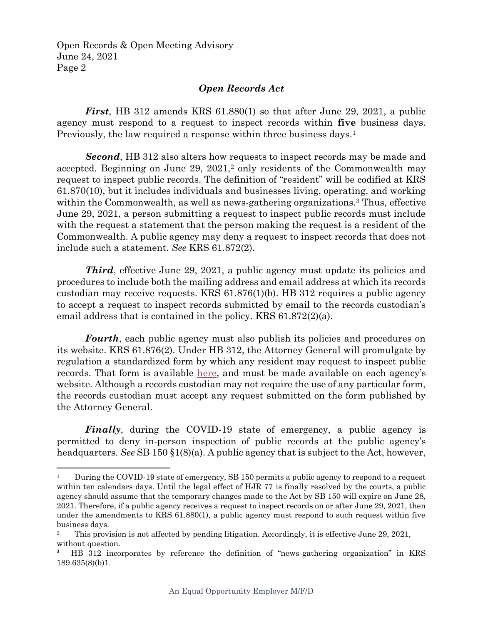Open Records & Open Meeting Advisory June 24, 2021 Page 2

 $\overline{\phantom{a}}$ 

## *Open Records Act*

*First*, HB 312 amends KRS 61.880(1) so that after June 29, 2021, a public agency must respond to a request to inspect records within **five** business days. Previously, the law required a response within three business days. 1

*Second*, HB 312 also alters how requests to inspect records may be made and accepted. Beginning on June 29, 2021,<sup>2</sup> only residents of the Commonwealth may request to inspect public records. The definition of "resident" will be codified at KRS 61.870(10), but it includes individuals and businesses living, operating, and working within the Commonwealth, as well as news-gathering organizations.<sup>3</sup> Thus, effective June 29, 2021, a person submitting a request to inspect public records must include with the request a statement that the person making the request is a resident of the Commonwealth. A public agency may deny a request to inspect records that does not include such a statement. *See* KRS 61.872(2).

**Third**, effective June 29, 2021, a public agency must update its policies and procedures to include both the mailing address and email address at which its records custodian may receive requests. KRS 61.876(1)(b). HB 312 requires a public agency to accept a request to inspect records submitted by email to the records custodian's email address that is contained in the policy. KRS 61.872(2)(a).

*Fourth*, each public agency must also publish its policies and procedures on its website. KRS 61.876(2). Under HB 312, the Attorney General will promulgate by regulation a standardized form by which any resident may request to inspect public records. That form is available [here,](https://ag.ky.gov/Documents/2021_Standardized_Open_Records_Request_Form_V3.pdf) and must be made available on each agency's website. Although a records custodian may not require the use of any particular form, the records custodian must accept any request submitted on the form published by the Attorney General.

*Finally*, during the COVID-19 state of emergency, a public agency is permitted to deny in-person inspection of public records at the public agency's headquarters. *See* SB 150 §1(8)(a). A public agency that is subject to the Act, however,

<sup>1</sup> During the COVID-19 state of emergency, SB 150 permits a public agency to respond to a request within ten calendars days. Until the legal effect of HJR 77 is finally resolved by the courts, a public agency should assume that the temporary changes made to the Act by SB 150 will expire on June 28, 2021. Therefore, if a public agency receives a request to inspect records on or after June 29, 2021, then under the amendments to KRS 61.880(1), a public agency must respond to such request within five business days.

<sup>&</sup>lt;sup>2</sup> This provision is not affected by pending litigation. Accordingly, it is effective June 29, 2021, without question.

<sup>&</sup>lt;sup>3</sup> HB 312 incorporates by reference the definition of "news-gathering organization" in KRS 189.635(8)(b)1.